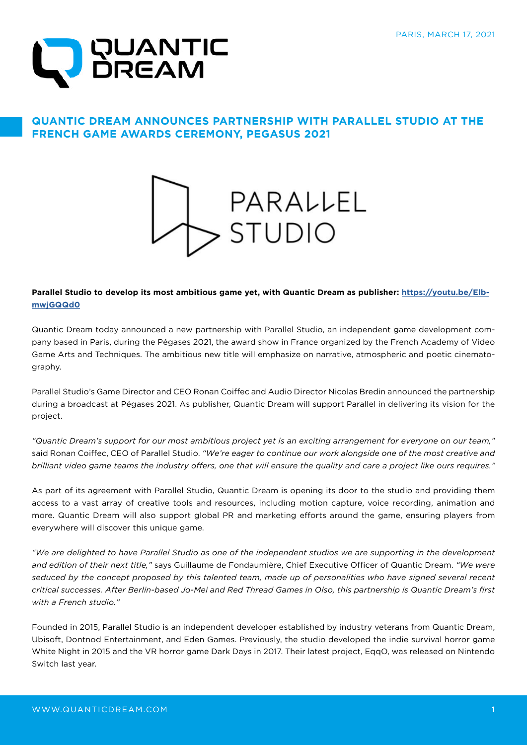

## **QUANTIC DREAM ANNOUNCES PARTNERSHIP WITH PARALLEL STUDIO AT THE FRENCH GAME AWARDS CEREMONY, PEGASUS 2021**



## **Parallel Studio to develop its most ambitious game yet, with Quantic Dream as publisher: [https://youtu.be/Elb](https://youtu.be/ElbmwjGQQd0)[mwjGQQd0](https://youtu.be/ElbmwjGQQd0)**

Quantic Dream today announced a new partnership with Parallel Studio, an independent game development company based in Paris, during the Pégases 2021, the award show in France organized by the French Academy of Video Game Arts and Techniques. The ambitious new title will emphasize on narrative, atmospheric and poetic cinematography.

Parallel Studio's Game Director and CEO Ronan Coiffec and Audio Director Nicolas Bredin announced the partnership during a broadcast at Pégases 2021. As publisher, Quantic Dream will support Parallel in delivering its vision for the project.

*"Quantic Dream's support for our most ambitious project yet is an exciting arrangement for everyone on our team,"*  said Ronan Coiffec, CEO of Parallel Studio. *"We're eager to continue our work alongside one of the most creative and brilliant video game teams the industry offers, one that will ensure the quality and care a project like ours requires."* 

As part of its agreement with Parallel Studio, Quantic Dream is opening its door to the studio and providing them access to a vast array of creative tools and resources, including motion capture, voice recording, animation and more. Quantic Dream will also support global PR and marketing efforts around the game, ensuring players from everywhere will discover this unique game.

*"We are delighted to have Parallel Studio as one of the independent studios we are supporting in the development and edition of their next title,"* says Guillaume de Fondaumière, Chief Executive Officer of Quantic Dream. *"We were*  seduced by the concept proposed by this talented team, made up of personalities who have signed several recent *critical successes. After Berlin-based Jo-Mei and Red Thread Games in Olso, this partnership is Quantic Dream's first with a French studio."* 

Founded in 2015, Parallel Studio is an independent developer established by industry veterans from Quantic Dream, Ubisoft, Dontnod Entertainment, and Eden Games. Previously, the studio developed the indie survival horror game White Night in 2015 and the VR horror game Dark Days in 2017. Their latest project, EqqO, was released on Nintendo Switch last year.